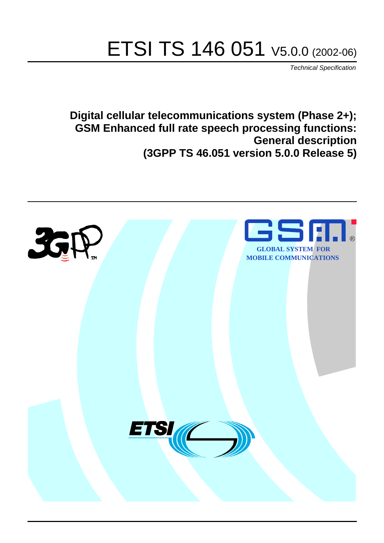# ETSI TS 146 051 V5.0.0 (2002-06)

Technical Specification

**Digital cellular telecommunications system (Phase 2+); GSM Enhanced full rate speech processing functions: General description (3GPP TS 46.051 version 5.0.0 Release 5)**

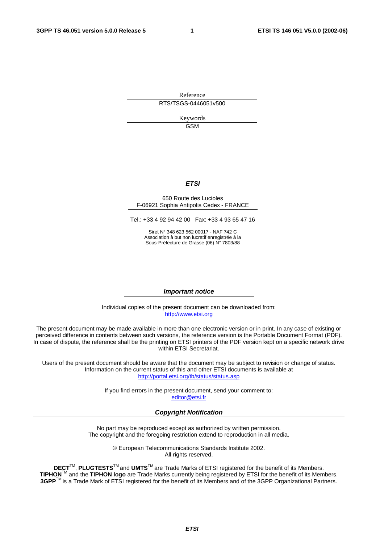Reference RTS/TSGS-0446051v500

> Keywords GSM

#### **ETSI**

#### 650 Route des Lucioles F-06921 Sophia Antipolis Cedex - FRANCE

Tel.: +33 4 92 94 42 00 Fax: +33 4 93 65 47 16

Siret N° 348 623 562 00017 - NAF 742 C Association à but non lucratif enregistrée à la Sous-Préfecture de Grasse (06) N° 7803/88

#### **Important notice**

Individual copies of the present document can be downloaded from: [http://www.etsi.org](http://www.etsi.org/)

The present document may be made available in more than one electronic version or in print. In any case of existing or perceived difference in contents between such versions, the reference version is the Portable Document Format (PDF). In case of dispute, the reference shall be the printing on ETSI printers of the PDF version kept on a specific network drive within ETSI Secretariat.

Users of the present document should be aware that the document may be subject to revision or change of status. Information on the current status of this and other ETSI documents is available at <http://portal.etsi.org/tb/status/status.asp>

> If you find errors in the present document, send your comment to: [editor@etsi.fr](mailto:editor@etsi.fr)

#### **Copyright Notification**

No part may be reproduced except as authorized by written permission. The copyright and the foregoing restriction extend to reproduction in all media.

> © European Telecommunications Standards Institute 2002. All rights reserved.

**DECT**TM, **PLUGTESTS**TM and **UMTS**TM are Trade Marks of ETSI registered for the benefit of its Members. **TIPHON**TM and the **TIPHON logo** are Trade Marks currently being registered by ETSI for the benefit of its Members. **3GPP**TM is a Trade Mark of ETSI registered for the benefit of its Members and of the 3GPP Organizational Partners.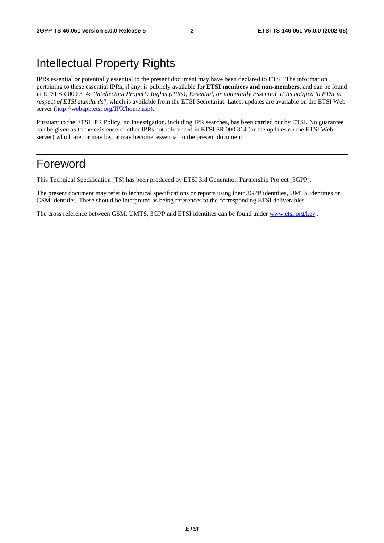## Intellectual Property Rights

IPRs essential or potentially essential to the present document may have been declared to ETSI. The information pertaining to these essential IPRs, if any, is publicly available for **ETSI members and non-members**, and can be found in ETSI SR 000 314: *"Intellectual Property Rights (IPRs); Essential, or potentially Essential, IPRs notified to ETSI in respect of ETSI standards"*, which is available from the ETSI Secretariat. Latest updates are available on the ETSI Web server ([http://webapp.etsi.org/IPR/home.asp\)](http://webapp.etsi.org/IPR/home.asp).

Pursuant to the ETSI IPR Policy, no investigation, including IPR searches, has been carried out by ETSI. No guarantee can be given as to the existence of other IPRs not referenced in ETSI SR 000 314 (or the updates on the ETSI Web server) which are, or may be, or may become, essential to the present document.

## Foreword

This Technical Specification (TS) has been produced by ETSI 3rd Generation Partnership Project (3GPP).

The present document may refer to technical specifications or reports using their 3GPP identities, UMTS identities or GSM identities. These should be interpreted as being references to the corresponding ETSI deliverables.

The cross reference between GSM, UMTS, 3GPP and ETSI identities can be found under [www.etsi.org/key](http://www.etsi.org/key) .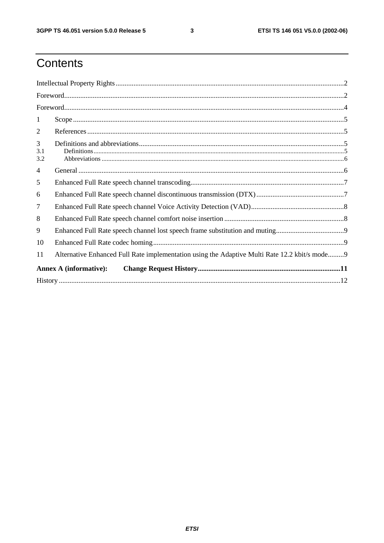$\mathbf{3}$ 

# Contents

| $\mathbf{1}$    |                                                                                               |  |  |  |  |  |
|-----------------|-----------------------------------------------------------------------------------------------|--|--|--|--|--|
| 2               |                                                                                               |  |  |  |  |  |
| 3<br>3.1<br>3.2 |                                                                                               |  |  |  |  |  |
| 4               |                                                                                               |  |  |  |  |  |
| 5               |                                                                                               |  |  |  |  |  |
| 6               |                                                                                               |  |  |  |  |  |
| $\overline{7}$  |                                                                                               |  |  |  |  |  |
| 8               |                                                                                               |  |  |  |  |  |
| 9               |                                                                                               |  |  |  |  |  |
| 10              |                                                                                               |  |  |  |  |  |
| 11              | Alternative Enhanced Full Rate implementation using the Adaptive Multi Rate 12.2 kbit/s mode9 |  |  |  |  |  |
|                 | <b>Annex A (informative):</b>                                                                 |  |  |  |  |  |
|                 |                                                                                               |  |  |  |  |  |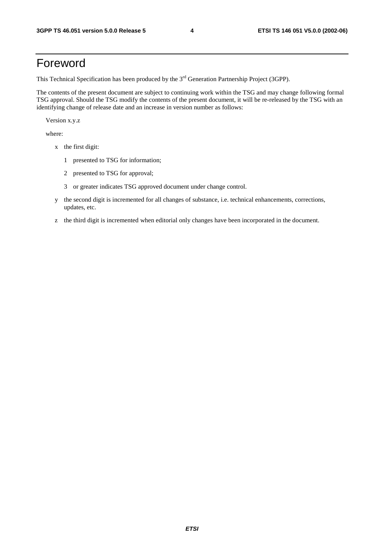## Foreword

This Technical Specification has been produced by the 3<sup>rd</sup> Generation Partnership Project (3GPP).

The contents of the present document are subject to continuing work within the TSG and may change following formal TSG approval. Should the TSG modify the contents of the present document, it will be re-released by the TSG with an identifying change of release date and an increase in version number as follows:

Version x.y.z

where:

- x the first digit:
	- 1 presented to TSG for information;
	- 2 presented to TSG for approval;
	- 3 or greater indicates TSG approved document under change control.
- y the second digit is incremented for all changes of substance, i.e. technical enhancements, corrections, updates, etc.
- z the third digit is incremented when editorial only changes have been incorporated in the document.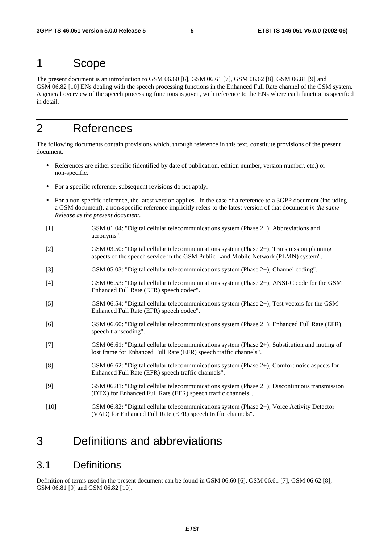## 1 Scope

The present document is an introduction to GSM 06.60 [6], GSM 06.61 [7], GSM 06.62 [8], GSM 06.81 [9] and GSM 06.82 [10] ENs dealing with the speech processing functions in the Enhanced Full Rate channel of the GSM system. A general overview of the speech processing functions is given, with reference to the ENs where each function is specified in detail.

## 2 References

The following documents contain provisions which, through reference in this text, constitute provisions of the present document.

- References are either specific (identified by date of publication, edition number, version number, etc.) or non-specific.
- For a specific reference, subsequent revisions do not apply.
- For a non-specific reference, the latest version applies. In the case of a reference to a 3GPP document (including a GSM document), a non-specific reference implicitly refers to the latest version of that document *in the same Release as the present document*.
- [1] GSM 01.04: "Digital cellular telecommunications system (Phase 2+); Abbreviations and acronyms".
- [2] GSM 03.50: "Digital cellular telecommunications system (Phase 2+); Transmission planning aspects of the speech service in the GSM Public Land Mobile Network (PLMN) system".
- [3] GSM 05.03: "Digital cellular telecommunications system (Phase 2+); Channel coding".
- [4] GSM 06.53: "Digital cellular telecommunications system (Phase 2+); ANSI-C code for the GSM Enhanced Full Rate (EFR) speech codec".
- [5] GSM 06.54: "Digital cellular telecommunications system (Phase 2+); Test vectors for the GSM Enhanced Full Rate (EFR) speech codec".
- [6] GSM 06.60: "Digital cellular telecommunications system (Phase 2+); Enhanced Full Rate (EFR) speech transcoding".
- [7] GSM 06.61: "Digital cellular telecommunications system (Phase 2+); Substitution and muting of lost frame for Enhanced Full Rate (EFR) speech traffic channels".
- [8] GSM 06.62: "Digital cellular telecommunications system (Phase 2+); Comfort noise aspects for Enhanced Full Rate (EFR) speech traffic channels".
- [9] GSM 06.81: "Digital cellular telecommunications system (Phase 2+); Discontinuous transmission (DTX) for Enhanced Full Rate (EFR) speech traffic channels".
- [10] GSM 06.82: "Digital cellular telecommunications system (Phase 2+); Voice Activity Detector (VAD) for Enhanced Full Rate (EFR) speech traffic channels".

## 3 Definitions and abbreviations

#### 3.1 Definitions

Definition of terms used in the present document can be found in GSM 06.60 [6], GSM 06.61 [7], GSM 06.62 [8], GSM 06.81 [9] and GSM 06.82 [10].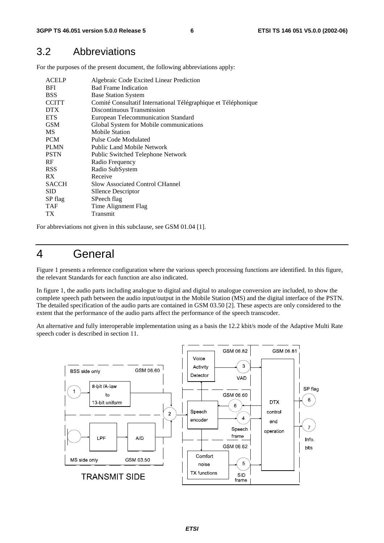#### 3.2 Abbreviations

For the purposes of the present document, the following abbreviations apply:

| <b>ACELP</b><br><b>BFI</b><br><b>BSS</b><br><b>CCITT</b><br><b>DTX</b> | Algebraic Code Excited Linear Prediction<br><b>Bad Frame Indication</b><br><b>Base Station System</b><br>Comité Consultatif International Télégraphique et Téléphonique<br>Discontinuous Transmission |
|------------------------------------------------------------------------|-------------------------------------------------------------------------------------------------------------------------------------------------------------------------------------------------------|
| <b>ETS</b>                                                             | <b>European Telecommunication Standard</b>                                                                                                                                                            |
| <b>GSM</b>                                                             | Global System for Mobile communications                                                                                                                                                               |
| <b>MS</b>                                                              | <b>Mobile Station</b>                                                                                                                                                                                 |
| <b>PCM</b>                                                             | Pulse Code Modulated                                                                                                                                                                                  |
| <b>PLMN</b>                                                            | <b>Public Land Mobile Network</b>                                                                                                                                                                     |
| <b>PSTN</b>                                                            | Public Switched Telephone Network                                                                                                                                                                     |
| RF                                                                     | Radio Frequency                                                                                                                                                                                       |
| <b>RSS</b>                                                             | Radio SubSystem                                                                                                                                                                                       |
| RX.                                                                    | Receive                                                                                                                                                                                               |
| <b>SACCH</b>                                                           | <b>Slow Associated Control CHannel</b>                                                                                                                                                                |
| <b>SID</b>                                                             | <b>SIlence Descriptor</b>                                                                                                                                                                             |
| SP flag                                                                | SPeech flag                                                                                                                                                                                           |
| <b>TAF</b>                                                             | Time Alignment Flag                                                                                                                                                                                   |
| TХ                                                                     | Transmit                                                                                                                                                                                              |

For abbreviations not given in this subclause, see GSM 01.04 [1].

## 4 General

Figure 1 presents a reference configuration where the various speech processing functions are identified. In this figure, the relevant Standards for each function are also indicated.

In figure 1, the audio parts including analogue to digital and digital to analogue conversion are included, to show the complete speech path between the audio input/output in the Mobile Station (MS) and the digital interface of the PSTN. The detailed specification of the audio parts are contained in GSM 03.50 [2]. These aspects are only considered to the extent that the performance of the audio parts affect the performance of the speech transcoder.

An alternative and fully interoperable implementation using as a basis the 12.2 kbit/s mode of the Adaptive Multi Rate speech coder is described in section 11.

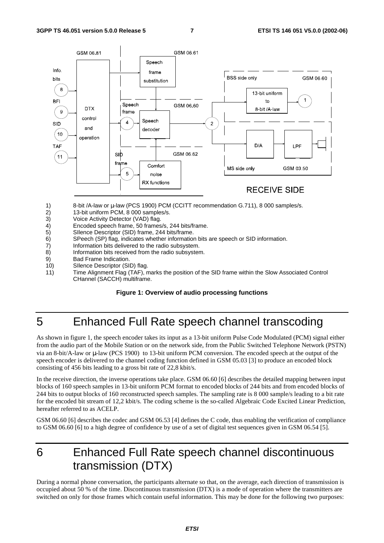

- 1) 8-bit /A-law or µ-law (PCS 1900) PCM (CCITT recommendation G.711), 8 000 samples/s.<br>2) 13-bit uniform PCM, 8 000 samples/s.
- 2) 13-bit uniform PCM, 8 000 samples/s.
- 3) Voice Activity Detector (VAD) flag.
- 4) Encoded speech frame, 50 frames/s, 244 bits/frame.<br>5) Sllence Descriptor (SID) frame, 244 bits/frame.
- 5) SIlence Descriptor (SID) frame, 244 bits/frame.
- 6) SPeech (SP) flag, indicates whether information bits are speech or SID information.
- 7) Information bits delivered to the radio subsystem.<br>8) Information bits received from the radio subsyster
- Information bits received from the radio subsystem.
- 9) Bad Frame Indication.
- 10) SIlence Descriptor (SID) flag.
- 11) Time Alignment Flag (TAF), marks the position of the SID frame within the Slow Associated Control CHannel (SACCH) multiframe.

#### **Figure 1: Overview of audio processing functions**

## 5 Enhanced Full Rate speech channel transcoding

As shown in figure 1, the speech encoder takes its input as a 13-bit uniform Pulse Code Modulated (PCM) signal either from the audio part of the Mobile Station or on the network side, from the Public Switched Telephone Network (PSTN) via an 8-bit/A-law or µ-law (PCS 1900) to 13-bit uniform PCM conversion. The encoded speech at the output of the speech encoder is delivered to the channel coding function defined in GSM 05.03 [3] to produce an encoded block consisting of 456 bits leading to a gross bit rate of 22,8 kbit/s.

In the receive direction, the inverse operations take place. GSM 06.60 [6] describes the detailed mapping between input blocks of 160 speech samples in 13-bit uniform PCM format to encoded blocks of 244 bits and from encoded blocks of 244 bits to output blocks of 160 reconstructed speech samples. The sampling rate is 8 000 sample/s leading to a bit rate for the encoded bit stream of 12,2 kbit/s. The coding scheme is the so-called Algebraic Code Excited Linear Prediction, hereafter referred to as ACELP.

GSM 06.60 [6] describes the codec and GSM 06.53 [4] defines the C code, thus enabling the verification of compliance to GSM 06.60 [6] to a high degree of confidence by use of a set of digital test sequences given in GSM 06.54 [5].

## 6 Enhanced Full Rate speech channel discontinuous transmission (DTX)

During a normal phone conversation, the participants alternate so that, on the average, each direction of transmission is occupied about 50 % of the time. Discontinuous transmission (DTX) is a mode of operation where the transmitters are switched on only for those frames which contain useful information. This may be done for the following two purposes: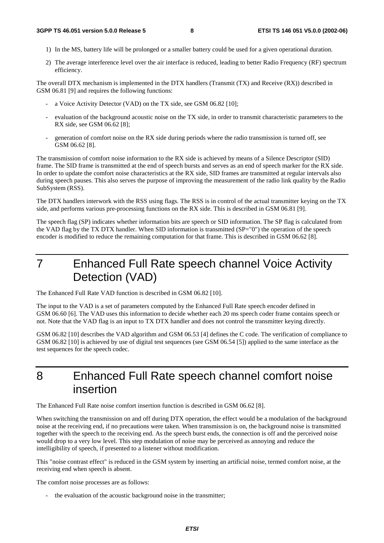- 1) In the MS, battery life will be prolonged or a smaller battery could be used for a given operational duration.
- 2) The average interference level over the air interface is reduced, leading to better Radio Frequency (RF) spectrum efficiency.

The overall DTX mechanism is implemented in the DTX handlers (Transmit (TX) and Receive (RX)) described in GSM 06.81 [9] and requires the following functions:

- a Voice Activity Detector (VAD) on the TX side, see GSM 06.82 [10];
- evaluation of the background acoustic noise on the TX side, in order to transmit characteristic parameters to the RX side, see GSM 06.62 [8];
- generation of comfort noise on the RX side during periods where the radio transmission is turned off, see GSM 06.62 [8].

The transmission of comfort noise information to the RX side is achieved by means of a Silence Descriptor (SID) frame. The SID frame is transmitted at the end of speech bursts and serves as an end of speech marker for the RX side. In order to update the comfort noise characteristics at the RX side, SID frames are transmitted at regular intervals also during speech pauses. This also serves the purpose of improving the measurement of the radio link quality by the Radio SubSystem (RSS).

The DTX handlers interwork with the RSS using flags. The RSS is in control of the actual transmitter keying on the TX side, and performs various pre-processing functions on the RX side. This is described in GSM 06.81 [9].

The speech flag (SP) indicates whether information bits are speech or SID information. The SP flag is calculated from the VAD flag by the TX DTX handler. When SID information is transmitted (SP="0") the operation of the speech encoder is modified to reduce the remaining computation for that frame. This is described in GSM 06.62 [8].

7 Enhanced Full Rate speech channel Voice Activity Detection (VAD)

The Enhanced Full Rate VAD function is described in GSM 06.82 [10].

The input to the VAD is a set of parameters computed by the Enhanced Full Rate speech encoder defined in GSM 06.60 [6]. The VAD uses this information to decide whether each 20 ms speech coder frame contains speech or not. Note that the VAD flag is an input to TX DTX handler and does not control the transmitter keying directly.

GSM 06.82 [10] describes the VAD algorithm and GSM 06.53 [4] defines the C code. The verification of compliance to GSM 06.82 [10] is achieved by use of digital test sequences (see GSM 06.54 [5]) applied to the same interface as the test sequences for the speech codec.

8 Enhanced Full Rate speech channel comfort noise insertion

The Enhanced Full Rate noise comfort insertion function is described in GSM 06.62 [8].

When switching the transmission on and off during DTX operation, the effect would be a modulation of the background noise at the receiving end, if no precautions were taken. When transmission is on, the background noise is transmitted together with the speech to the receiving end. As the speech burst ends, the connection is off and the perceived noise would drop to a very low level. This step modulation of noise may be perceived as annoying and reduce the intelligibility of speech, if presented to a listener without modification.

This "noise contrast effect" is reduced in the GSM system by inserting an artificial noise, termed comfort noise, at the receiving end when speech is absent.

The comfort noise processes are as follows:

the evaluation of the acoustic background noise in the transmitter;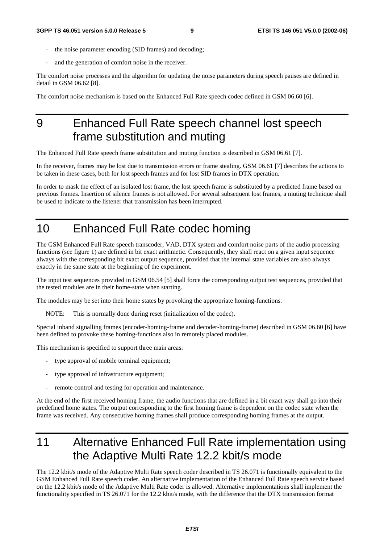- the noise parameter encoding (SID frames) and decoding;
- and the generation of comfort noise in the receiver.

The comfort noise processes and the algorithm for updating the noise parameters during speech pauses are defined in detail in GSM 06.62 [8].

The comfort noise mechanism is based on the Enhanced Full Rate speech codec defined in GSM 06.60 [6].

## 9 Enhanced Full Rate speech channel lost speech frame substitution and muting

The Enhanced Full Rate speech frame substitution and muting function is described in GSM 06.61 [7].

In the receiver, frames may be lost due to transmission errors or frame stealing. GSM 06.61 [7] describes the actions to be taken in these cases, both for lost speech frames and for lost SID frames in DTX operation.

In order to mask the effect of an isolated lost frame, the lost speech frame is substituted by a predicted frame based on previous frames. Insertion of silence frames is not allowed. For several subsequent lost frames, a muting technique shall be used to indicate to the listener that transmission has been interrupted.

# 10 Enhanced Full Rate codec homing

The GSM Enhanced Full Rate speech transcoder, VAD, DTX system and comfort noise parts of the audio processing functions (see figure 1) are defined in bit exact arithmetic. Consequently, they shall react on a given input sequence always with the corresponding bit exact output sequence, provided that the internal state variables are also always exactly in the same state at the beginning of the experiment.

The input test sequences provided in GSM 06.54 [5] shall force the corresponding output test sequences, provided that the tested modules are in their home-state when starting.

The modules may be set into their home states by provoking the appropriate homing-functions.

NOTE: This is normally done during reset (initialization of the codec).

Special inband signalling frames (encoder-homing-frame and decoder-homing-frame) described in GSM 06.60 [6] have been defined to provoke these homing-functions also in remotely placed modules.

This mechanism is specified to support three main areas:

- type approval of mobile terminal equipment;
- type approval of infrastructure equipment;
- remote control and testing for operation and maintenance.

At the end of the first received homing frame, the audio functions that are defined in a bit exact way shall go into their predefined home states. The output corresponding to the first homing frame is dependent on the codec state when the frame was received. Any consecutive homing frames shall produce corresponding homing frames at the output.

# 11 Alternative Enhanced Full Rate implementation using the Adaptive Multi Rate 12.2 kbit/s mode

The 12.2 kbit/s mode of the Adaptive Multi Rate speech coder described in TS 26.071 is functionally equivalent to the GSM Enhanced Full Rate speech coder. An alternative implementation of the Enhanced Full Rate speech service based on the 12.2 kbit/s mode of the Adaptive Multi Rate coder is allowed. Alternative implementations shall implement the functionality specified in TS 26.071 for the 12.2 kbit/s mode, with the difference that the DTX transmission format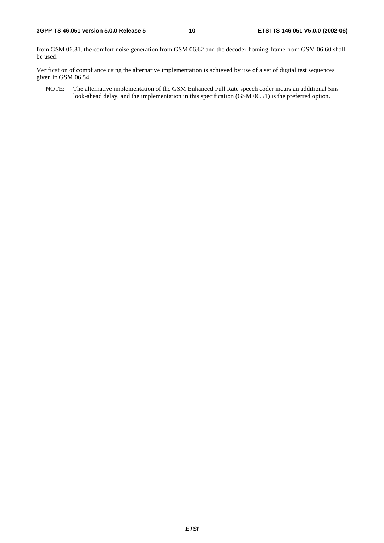from GSM 06.81, the comfort noise generation from GSM 06.62 and the decoder-homing-frame from GSM 06.60 shall be used.

Verification of compliance using the alternative implementation is achieved by use of a set of digital test sequences given in GSM 06.54.

NOTE: The alternative implementation of the GSM Enhanced Full Rate speech coder incurs an additional 5ms look-ahead delay, and the implementation in this specification (GSM 06.51) is the preferred option.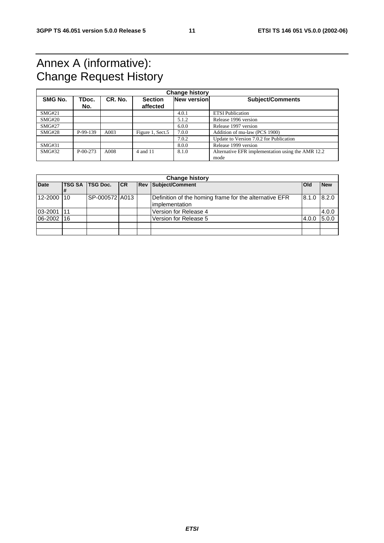## Annex A (informative): Change Request History

| <b>Change history</b> |                |         |                            |             |                                                           |
|-----------------------|----------------|---------|----------------------------|-------------|-----------------------------------------------------------|
| SMG No.               | TDoc.<br>No.   | CR. No. | <b>Section</b><br>affected | New version | <b>Subject/Comments</b>                                   |
| SMG#21                |                |         |                            | 4.0.1       | <b>ETSI</b> Publication                                   |
| SMG#20                |                |         |                            | 5.1.2       | Release 1996 version                                      |
| <b>SMG#27</b>         |                |         |                            | 6.0.0       | Release 1997 version                                      |
| SMG#28                | P-99-139       | A003    | Figure 1, Sect.5           | 7.0.0       | Addition of mu-law (PCS 1900)                             |
|                       |                |         |                            | 7.0.2       | Update to Version 7.0.2 for Publication                   |
| SMG#31                |                |         |                            | 8.0.0       | Release 1999 version                                      |
| SMG#32                | $P - 00 - 273$ | A008    | 4 and 11                   | 8.1.0       | Alternative EFR implementation using the AMR 12.2<br>mode |

|             | <b>Change history</b> |                 |            |  |                                                                           |            |            |
|-------------|-----------------------|-----------------|------------|--|---------------------------------------------------------------------------|------------|------------|
| <b>Date</b> | <b>TSG SA</b>         | <b>TSG Doc.</b> | <b>ICR</b> |  | <b>Rev Subject/Comment</b>                                                | <b>Old</b> | <b>New</b> |
| 12-2000     | 110                   | SP-000572 A013  |            |  | Definition of the homing frame for the alternative EFR<br>limplementation | 8.1.0      | 8.2.0      |
| 03-2001     | l 11                  |                 |            |  | Version for Release 4                                                     |            | 4.0.0      |
| 06-2002     | 16                    |                 |            |  | Version for Release 5                                                     | 4.0.0      | 5.0.0      |
|             |                       |                 |            |  |                                                                           |            |            |
|             |                       |                 |            |  |                                                                           |            |            |